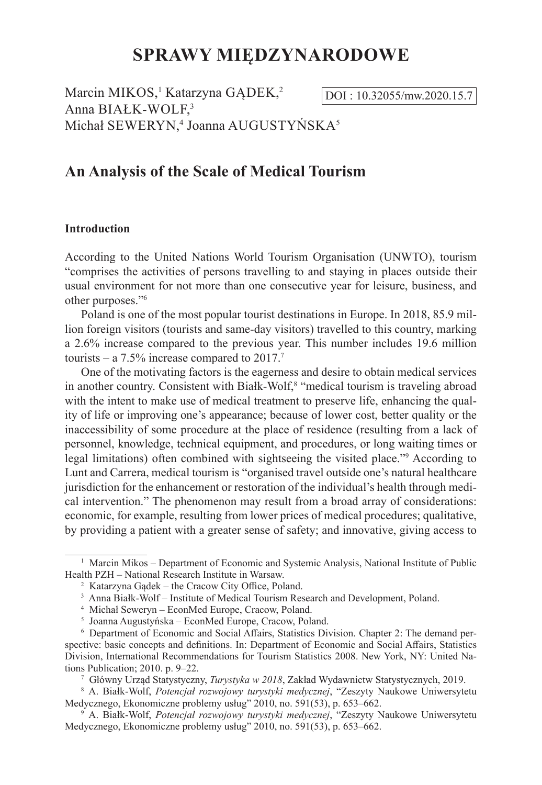# **SPRAWY MIĘDZYNARODOWE**

Marcin MIKOS,<sup>1</sup> Katarzyna GĄDEK,<sup>2</sup> Anna BIAŁK-WOLF, 3 Michał SEWERYN,<sup>4</sup> Joanna AUGUSTYŃSKA<sup>5</sup>

DOI: 10.32055/mw.2020.15.7

# **An Analysis of the Scale of Medical Tourism**

# **Introduction**

According to the United Nations World Tourism Organisation (UNWTO), tourism "comprises the activities of persons travelling to and staying in places outside their usual environment for not more than one consecutive year for leisure, business, and other purposes."<sup>6</sup>

Poland is one of the most popular tourist destinations in Europe. In 2018, 85.9 million foreign visitors (tourists and same-day visitors) travelled to this country, marking a 2.6% increase compared to the previous year. This number includes 19.6 million tourists – a 7.5% increase compared to  $2017$ .<sup>7</sup>

One of the motivating factors is the eagerness and desire to obtain medical services in another country. Consistent with Białk-Wolf,<sup>8</sup> "medical tourism is traveling abroad with the intent to make use of medical treatment to preserve life, enhancing the quality of life or improving one's appearance; because of lower cost, better quality or the inaccessibility of some procedure at the place of residence (resulting from a lack of personnel, knowledge, technical equipment, and procedures, or long waiting times or legal limitations) often combined with sightseeing the visited place."9 According to Lunt and Carrera, medical tourism is "organised travel outside one's natural healthcare jurisdiction for the enhancement or restoration of the individual's health through medical intervention." The phenomenon may result from a broad array of considerations: economic, for example, resulting from lower prices of medical procedures; qualitative, by providing a patient with a greater sense of safety; and innovative, giving access to

 $1$  Marcin Mikos – Department of Economic and Systemic Analysis, National Institute of Public Health PZH – National Research Institute in Warsaw.

<sup>2</sup> Katarzyna Gądek – the Cracow City Office, Poland.

<sup>&</sup>lt;sup>3</sup> Anna Białk-Wolf – Institute of Medical Tourism Research and Development, Poland.

<sup>4</sup> Michał Seweryn – EconMed Europe, Cracow, Poland.

<sup>5</sup> Joanna Augustyńska – EconMed Europe, Cracow, Poland.

<sup>6</sup> Department of Economic and Social Affairs, Statistics Division. Chapter 2: The demand perspective: basic concepts and definitions. In: Department of Economic and Social Affairs, Statistics Division, International Recommendations for Tourism Statistics 2008. New York, NY: United Nations Publication; 2010. p. 9–22.

<sup>7</sup> Główny Urząd Statystyczny, *Turystyka w 2018*, Zakład Wydawnictw Statystycznych, 2019.

<sup>8</sup> A. Białk-Wolf, *Potencjał rozwojowy turystyki medycznej*, "Zeszyty Naukowe Uniwersytetu Medycznego, Ekonomiczne problemy usług" 2010, no. 591(53), p. 653–662.

<sup>9</sup> A. Białk-Wolf, *Potencjał rozwojowy turystyki medycznej*, "Zeszyty Naukowe Uniwersytetu Medycznego, Ekonomiczne problemy usług" 2010, no. 591(53), p. 653–662.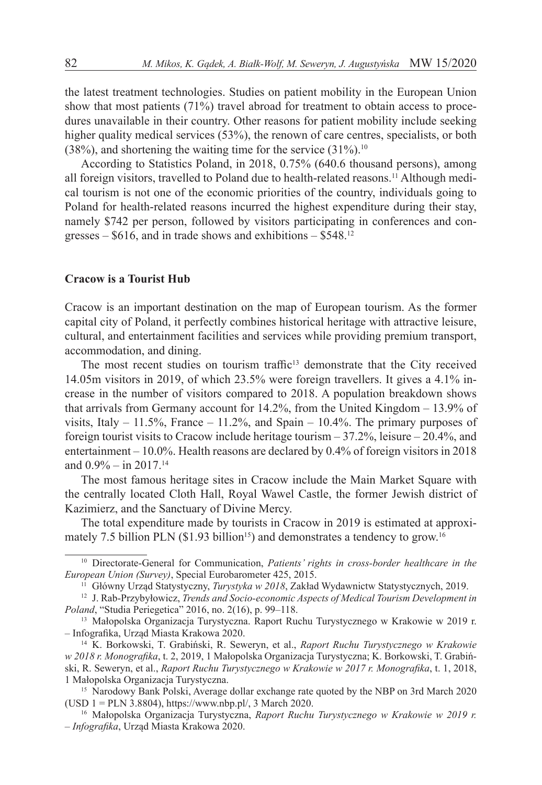the latest treatment technologies. Studies on patient mobility in the European Union show that most patients (71%) travel abroad for treatment to obtain access to procedures unavailable in their country. Other reasons for patient mobility include seeking higher quality medical services (53%), the renown of care centres, specialists, or both  $(38\%)$ , and shortening the waiting time for the service  $(31\%)$ .<sup>10</sup>

According to Statistics Poland, in 2018, 0.75% (640.6 thousand persons), among all foreign visitors, travelled to Poland due to health-related reasons.11 Although medical tourism is not one of the economic priorities of the country, individuals going to Poland for health-related reasons incurred the highest expenditure during their stay, namely \$742 per person, followed by visitors participating in conferences and congresses –  $$616$ , and in trade shows and exhibitions –  $$548.<sup>12</sup>$ 

# **Cracow is a Tourist Hub**

Cracow is an important destination on the map of European tourism. As the former capital city of Poland, it perfectly combines historical heritage with attractive leisure, cultural, and entertainment facilities and services while providing premium transport, accommodation, and dining.

The most recent studies on tourism traffic<sup>13</sup> demonstrate that the City received 14.05m visitors in 2019, of which 23.5% were foreign travellers. It gives a 4.1% increase in the number of visitors compared to 2018. A population breakdown shows that arrivals from Germany account for 14.2%, from the United Kingdom – 13.9% of visits, Italy  $-11.5\%$ , France  $-11.2\%$ , and Spain  $-10.4\%$ . The primary purposes of foreign tourist visits to Cracow include heritage tourism – 37.2%, leisure – 20.4%, and entertainment – 10.0%. Health reasons are declared by 0.4% of foreign visitors in 2018 and  $0.9\% -$  in  $2017.<sup>14</sup>$ 

The most famous heritage sites in Cracow include the Main Market Square with the centrally located Cloth Hall, Royal Wawel Castle, the former Jewish district of Kazimierz, and the Sanctuary of Divine Mercy.

The total expenditure made by tourists in Cracow in 2019 is estimated at approximately 7.5 billion PLN ( $$1.93$  billion<sup>15</sup>) and demonstrates a tendency to grow.<sup>16</sup>

<sup>10</sup> Directorate-General for Communication, *Patients' rights in cross-border healthcare in the European Union (Survey)*, Special Eurobarometer 425, 2015.

<sup>11</sup> Główny Urząd Statystyczny, *Turystyka w 2018*, Zakład Wydawnictw Statystycznych, 2019.

<sup>12</sup> J. Rab-Przybyłowicz, *Trends and Socio-economic Aspects of Medical Tourism Development in Poland*, "Studia Periegetica" 2016, no. 2(16), p. 99–118.

<sup>13</sup> Małopolska Organizacja Turystyczna. Raport Ruchu Turystycznego w Krakowie w 2019 r. – Infografika, Urząd Miasta Krakowa 2020.

<sup>14</sup> K. Borkowski, T. Grabiński, R. Seweryn, et al., *Raport Ruchu Turystycznego w Krakowie w 2018 r. Monografika*, t. 2, 2019, 1 Małopolska Organizacja Turystyczna; K. Borkowski, T. Grabiński, R. Seweryn, et al., *Raport Ruchu Turystycznego w Krakowie w 2017 r. Monografika*, t. 1, 2018, 1 Małopolska Organizacja Turystyczna.

<sup>&</sup>lt;sup>15</sup> Narodowy Bank Polski, Average dollar exchange rate quoted by the NBP on 3rd March 2020 (USD 1 = PLN 3.8804), https://www.nbp.pl/, 3 March 2020.

<sup>16</sup> Małopolska Organizacja Turystyczna, *Raport Ruchu Turystycznego w Krakowie w 2019 r. – Infografika*, Urząd Miasta Krakowa 2020.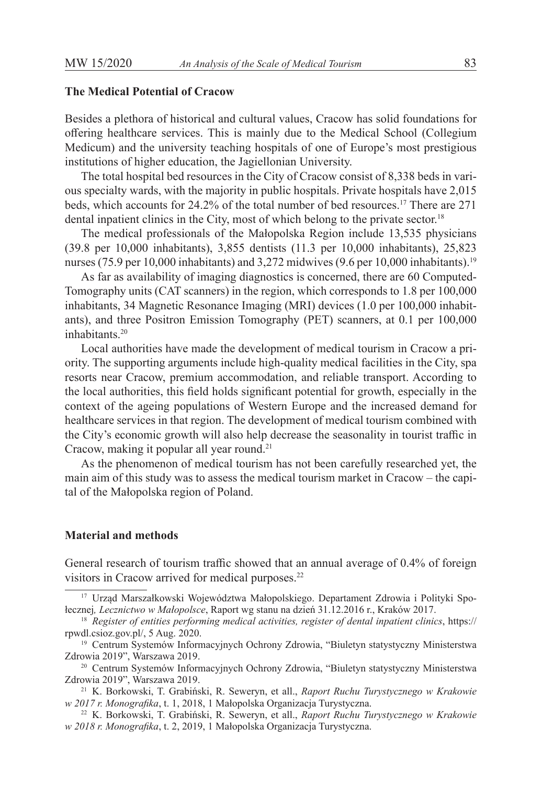# **The Medical Potential of Cracow**

Besides a plethora of historical and cultural values, Cracow has solid foundations for offering healthcare services. This is mainly due to the Medical School (Collegium Medicum) and the university teaching hospitals of one of Europe's most prestigious institutions of higher education, the Jagiellonian University.

The total hospital bed resources in the City of Cracow consist of 8,338 beds in various specialty wards, with the majority in public hospitals. Private hospitals have 2,015 beds, which accounts for 24.2% of the total number of bed resources.17 There are 271 dental inpatient clinics in the City, most of which belong to the private sector.<sup>18</sup>

The medical professionals of the Małopolska Region include 13,535 physicians (39.8 per 10,000 inhabitants), 3,855 dentists (11.3 per 10,000 inhabitants), 25,823 nurses (75.9 per 10,000 inhabitants) and 3,272 midwives (9.6 per 10,000 inhabitants).<sup>19</sup>

As far as availability of imaging diagnostics is concerned, there are 60 Computed-Tomography units (CAT scanners) in the region, which corresponds to 1.8 per 100,000 inhabitants, 34 Magnetic Resonance Imaging (MRI) devices (1.0 per 100,000 inhabitants), and three Positron Emission Tomography (PET) scanners, at 0.1 per 100,000 inhabitants.<sup>20</sup>

Local authorities have made the development of medical tourism in Cracow a priority. The supporting arguments include high-quality medical facilities in the City, spa resorts near Cracow, premium accommodation, and reliable transport. According to the local authorities, this field holds significant potential for growth, especially in the context of the ageing populations of Western Europe and the increased demand for healthcare services in that region. The development of medical tourism combined with the City's economic growth will also help decrease the seasonality in tourist traffic in Cracow, making it popular all year round.<sup>21</sup>

As the phenomenon of medical tourism has not been carefully researched yet, the main aim of this study was to assess the medical tourism market in Cracow – the capital of the Małopolska region of Poland.

# **Material and methods**

General research of tourism traffic showed that an annual average of 0.4% of foreign visitors in Cracow arrived for medical purposes.<sup>22</sup>

<sup>17</sup> Urząd Marszałkowski Województwa Małopolskiego. Departament Zdrowia i Polityki Społecznej*, Lecznictwo w Małopolsce*, Raport wg stanu na dzień 31.12.2016 r., Kraków 2017.

<sup>18</sup> *Register of entities performing medical activities, register of dental inpatient clinics*, https:// rpwdl.csioz.gov.pl/, 5 Aug. 2020.

<sup>&</sup>lt;sup>19</sup> Centrum Systemów Informacyjnych Ochrony Zdrowia, "Biuletyn statystyczny Ministerstwa Zdrowia 2019", Warszawa 2019.

<sup>&</sup>lt;sup>20</sup> Centrum Systemów Informacyjnych Ochrony Zdrowia, "Biuletyn statystyczny Ministerstwa Zdrowia 2019", Warszawa 2019.

<sup>21</sup> K. Borkowski, T. Grabiński, R. Seweryn, et all., *Raport Ruchu Turystycznego w Krakowie w 2017 r. Monografika*, t. 1, 2018, 1 Małopolska Organizacja Turystyczna.

<sup>22</sup> K. Borkowski, T. Grabiński, R. Seweryn, et all., *Raport Ruchu Turystycznego w Krakowie w 2018 r. Monografika*, t. 2, 2019, 1 Małopolska Organizacja Turystyczna.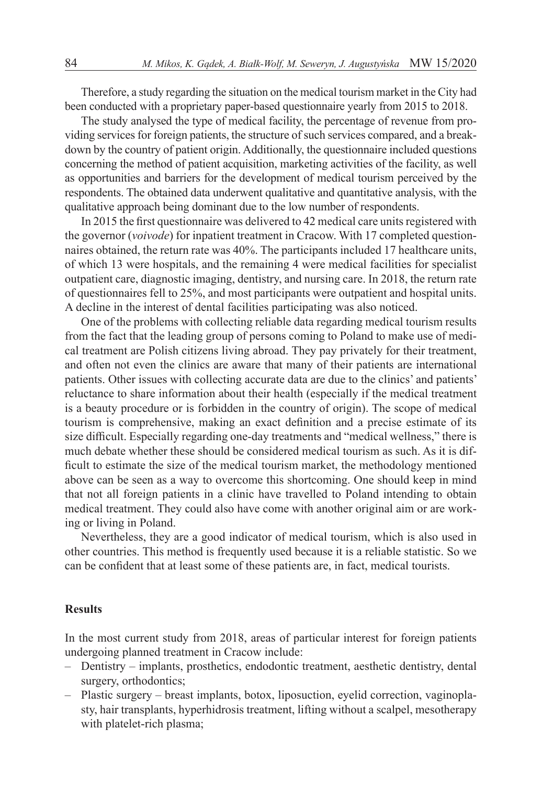Therefore, a study regarding the situation on the medical tourism market in the City had been conducted with a proprietary paper-based questionnaire yearly from 2015 to 2018.

The study analysed the type of medical facility, the percentage of revenue from providing services for foreign patients, the structure of such services compared, and a breakdown by the country of patient origin. Additionally, the questionnaire included questions concerning the method of patient acquisition, marketing activities of the facility, as well as opportunities and barriers for the development of medical tourism perceived by the respondents. The obtained data underwent qualitative and quantitative analysis, with the qualitative approach being dominant due to the low number of respondents.

In 2015 the first questionnaire was delivered to 42 medical care units registered with the governor (*voivode*) for inpatient treatment in Cracow. With 17 completed questionnaires obtained, the return rate was 40%. The participants included 17 healthcare units, of which 13 were hospitals, and the remaining 4 were medical facilities for specialist outpatient care, diagnostic imaging, dentistry, and nursing care. In 2018, the return rate of questionnaires fell to 25%, and most participants were outpatient and hospital units. A decline in the interest of dental facilities participating was also noticed.

One of the problems with collecting reliable data regarding medical tourism results from the fact that the leading group of persons coming to Poland to make use of medical treatment are Polish citizens living abroad. They pay privately for their treatment, and often not even the clinics are aware that many of their patients are international patients. Other issues with collecting accurate data are due to the clinics' and patients' reluctance to share information about their health (especially if the medical treatment is a beauty procedure or is forbidden in the country of origin). The scope of medical tourism is comprehensive, making an exact definition and a precise estimate of its size difficult. Especially regarding one-day treatments and "medical wellness," there is much debate whether these should be considered medical tourism as such. As it is difficult to estimate the size of the medical tourism market, the methodology mentioned above can be seen as a way to overcome this shortcoming. One should keep in mind that not all foreign patients in a clinic have travelled to Poland intending to obtain medical treatment. They could also have come with another original aim or are working or living in Poland.

Nevertheless, they are a good indicator of medical tourism, which is also used in other countries. This method is frequently used because it is a reliable statistic. So we can be confident that at least some of these patients are, in fact, medical tourists.

# **Results**

In the most current study from 2018, areas of particular interest for foreign patients undergoing planned treatment in Cracow include:

- Dentistry implants, prosthetics, endodontic treatment, aesthetic dentistry, dental surgery, orthodontics;
- Plastic surgery breast implants, botox, liposuction, eyelid correction, vaginoplasty, hair transplants, hyperhidrosis treatment, lifting without a scalpel, mesotherapy with platelet-rich plasma;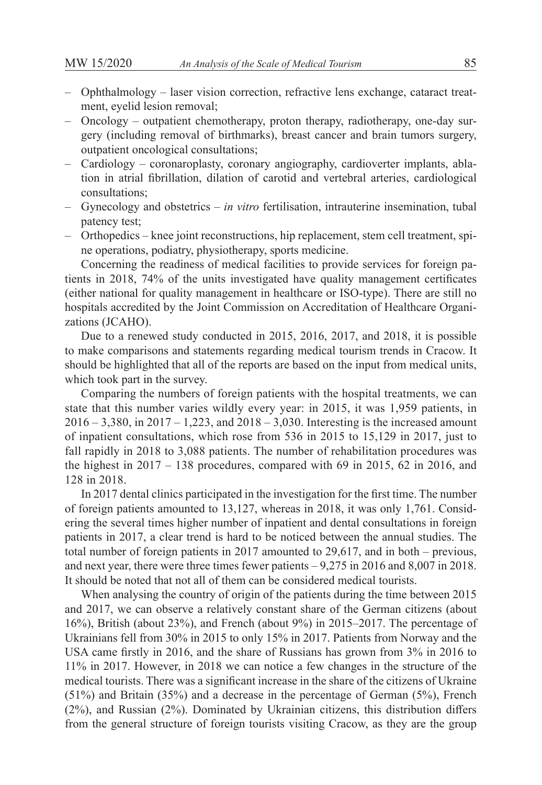- Ophthalmology laser vision correction, refractive lens exchange, cataract treatment, eyelid lesion removal;
- Oncology outpatient chemotherapy, proton therapy, radiotherapy, one-day surgery (including removal of birthmarks), breast cancer and brain tumors surgery, outpatient oncological consultations;
- Cardiology coronaroplasty, coronary angiography, cardioverter implants, ablation in atrial fibrillation, dilation of carotid and vertebral arteries, cardiological consultations;
- Gynecology and obstetrics *in vitro* fertilisation, intrauterine insemination, tubal patency test;
- Orthopedics knee joint reconstructions, hip replacement, stem cell treatment, spine operations, podiatry, physiotherapy, sports medicine.

Concerning the readiness of medical facilities to provide services for foreign patients in 2018, 74% of the units investigated have quality management certificates (either national for quality management in healthcare or ISO-type). There are still no hospitals accredited by the Joint Commission on Accreditation of Healthcare Organizations (JCAHO).

Due to a renewed study conducted in 2015, 2016, 2017, and 2018, it is possible to make comparisons and statements regarding medical tourism trends in Cracow. It should be highlighted that all of the reports are based on the input from medical units, which took part in the survey.

Comparing the numbers of foreign patients with the hospital treatments, we can state that this number varies wildly every year: in 2015, it was 1,959 patients, in  $2016 - 3.380$ , in  $2017 - 1.223$ , and  $2018 - 3.030$ . Interesting is the increased amount of inpatient consultations, which rose from 536 in 2015 to 15,129 in 2017, just to fall rapidly in 2018 to 3,088 patients. The number of rehabilitation procedures was the highest in  $2017 - 138$  procedures, compared with 69 in 2015, 62 in 2016, and 128 in 2018.

In 2017 dental clinics participated in the investigation for the first time. The number of foreign patients amounted to 13,127, whereas in 2018, it was only 1,761. Considering the several times higher number of inpatient and dental consultations in foreign patients in 2017, a clear trend is hard to be noticed between the annual studies. The total number of foreign patients in 2017 amounted to 29,617, and in both – previous, and next year, there were three times fewer patients – 9,275 in 2016 and 8,007 in 2018. It should be noted that not all of them can be considered medical tourists.

When analysing the country of origin of the patients during the time between 2015 and 2017, we can observe a relatively constant share of the German citizens (about 16%), British (about 23%), and French (about 9%) in 2015–2017. The percentage of Ukrainians fell from 30% in 2015 to only 15% in 2017. Patients from Norway and the USA came firstly in 2016, and the share of Russians has grown from 3% in 2016 to 11% in 2017. However, in 2018 we can notice a few changes in the structure of the medical tourists. There was a significant increase in the share of the citizens of Ukraine (51%) and Britain (35%) and a decrease in the percentage of German (5%), French (2%), and Russian (2%). Dominated by Ukrainian citizens, this distribution differs from the general structure of foreign tourists visiting Cracow, as they are the group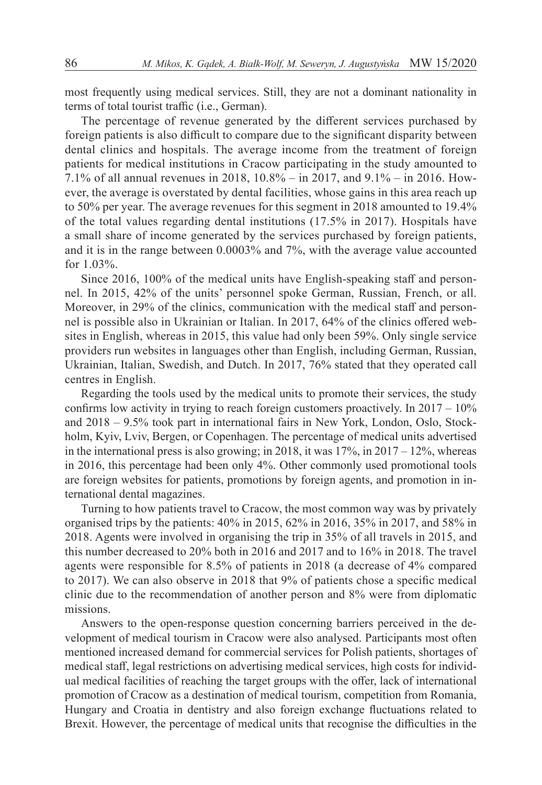most frequently using medical services. Still, they are not a dominant nationality in terms of total tourist traffic (i.e., German).

The percentage of revenue generated by the different services purchased by foreign patients is also difficult to compare due to the significant disparity between dental clinics and hospitals. The average income from the treatment of foreign patients for medical institutions in Cracow participating in the study amounted to 7.1% of all annual revenues in 2018, 10.8% – in 2017, and 9.1% – in 2016. However, the average is overstated by dental facilities, whose gains in this area reach up to 50% per year. The average revenues for this segment in 2018 amounted to 19.4% of the total values regarding dental institutions (17.5% in 2017). Hospitals have a small share of income generated by the services purchased by foreign patients, and it is in the range between 0.0003% and 7%, with the average value accounted for 1.03%.

Since 2016, 100% of the medical units have English-speaking staff and personnel. In 2015, 42% of the units' personnel spoke German, Russian, French, or all. Moreover, in 29% of the clinics, communication with the medical staff and personnel is possible also in Ukrainian or Italian. In 2017, 64% of the clinics offered websites in English, whereas in 2015, this value had only been 59%. Only single service providers run websites in languages other than English, including German, Russian, Ukrainian, Italian, Swedish, and Dutch. In 2017, 76% stated that they operated call centres in English.

Regarding the tools used by the medical units to promote their services, the study confirms low activity in trying to reach foreign customers proactively. In 2017 – 10% and 2018 – 9.5% took part in international fairs in New York, London, Oslo, Stockholm, Kyiv, Lviv, Bergen, or Copenhagen. The percentage of medical units advertised in the international press is also growing; in 2018, it was  $17\%$ , in  $2017 - 12\%$ , whereas in 2016, this percentage had been only 4%. Other commonly used promotional tools are foreign websites for patients, promotions by foreign agents, and promotion in international dental magazines.

Turning to how patients travel to Cracow, the most common way was by privately organised trips by the patients: 40% in 2015, 62% in 2016, 35% in 2017, and 58% in 2018. Agents were involved in organising the trip in 35% of all travels in 2015, and this number decreased to 20% both in 2016 and 2017 and to 16% in 2018. The travel agents were responsible for 8.5% of patients in 2018 (a decrease of 4% compared to 2017). We can also observe in 2018 that 9% of patients chose a specific medical clinic due to the recommendation of another person and 8% were from diplomatic missions.

Answers to the open-response question concerning barriers perceived in the development of medical tourism in Cracow were also analysed. Participants most often mentioned increased demand for commercial services for Polish patients, shortages of medical staff, legal restrictions on advertising medical services, high costs for individual medical facilities of reaching the target groups with the offer, lack of international promotion of Cracow as a destination of medical tourism, competition from Romania, Hungary and Croatia in dentistry and also foreign exchange fluctuations related to Brexit. However, the percentage of medical units that recognise the difficulties in the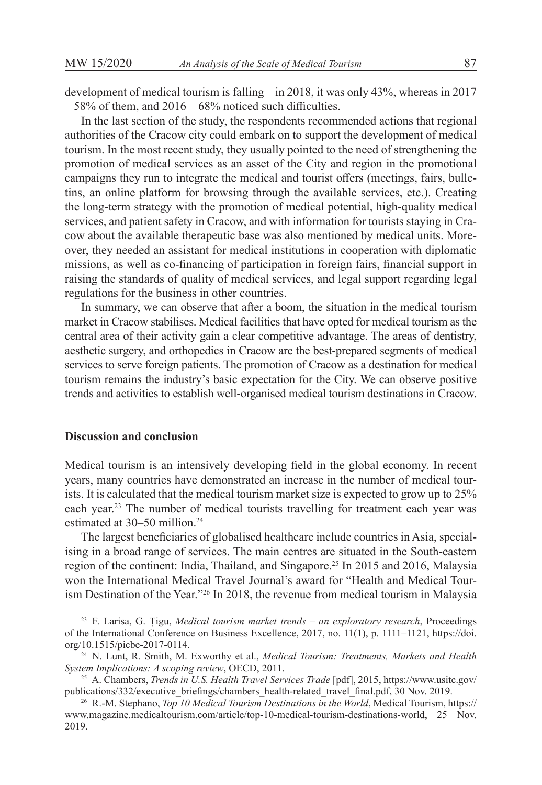development of medical tourism is falling  $-$  in 2018, it was only 43%, whereas in 2017  $-58\%$  of them, and  $2016 - 68\%$  noticed such difficulties.

In the last section of the study, the respondents recommended actions that regional authorities of the Cracow city could embark on to support the development of medical tourism. In the most recent study, they usually pointed to the need of strengthening the promotion of medical services as an asset of the City and region in the promotional campaigns they run to integrate the medical and tourist offers (meetings, fairs, bulletins, an online platform for browsing through the available services, etc.). Creating the long-term strategy with the promotion of medical potential, high-quality medical services, and patient safety in Cracow, and with information for tourists staying in Cracow about the available therapeutic base was also mentioned by medical units. Moreover, they needed an assistant for medical institutions in cooperation with diplomatic missions, as well as co-financing of participation in foreign fairs, financial support in raising the standards of quality of medical services, and legal support regarding legal regulations for the business in other countries.

In summary, we can observe that after a boom, the situation in the medical tourism market in Cracow stabilises. Medical facilities that have opted for medical tourism as the central area of their activity gain a clear competitive advantage. The areas of dentistry, aesthetic surgery, and orthopedics in Cracow are the best-prepared segments of medical services to serve foreign patients. The promotion of Cracow as a destination for medical tourism remains the industry's basic expectation for the City. We can observe positive trends and activities to establish well-organised medical tourism destinations in Cracow.

# **Discussion and conclusion**

Medical tourism is an intensively developing field in the global economy. In recent years, many countries have demonstrated an increase in the number of medical tourists. It is calculated that the medical tourism market size is expected to grow up to 25% each year.<sup>23</sup> The number of medical tourists travelling for treatment each year was estimated at 30–50 million.<sup>24</sup>

The largest beneficiaries of globalised healthcare include countries in Asia, specialising in a broad range of services. The main centres are situated in the South-eastern region of the continent: India, Thailand, and Singapore.<sup>25</sup> In 2015 and 2016, Malaysia won the International Medical Travel Journal's award for "Health and Medical Tourism Destination of the Year."<sup>26</sup> In 2018, the revenue from medical tourism in Malaysia

<sup>23</sup> F. Larisa, G. Țigu, *Medical tourism market trends – an exploratory research*, Proceedings of the International Conference on Business Excellence, 2017, no. 11(1), p. 1111–1121, https://doi. org/10.1515/picbe-2017-0114.

<sup>24</sup> N. Lunt, R. Smith, M. Exworthy et al., *Medical Tourism: Treatments, Markets and Health System Implications: A scoping review*, OECD, 2011.

<sup>25</sup> A. Chambers, *Trends in U.S. Health Travel Services Trade* [pdf], 2015, https://www.usitc.gov/ publications/332/executive briefings/chambers health-related travel final.pdf, 30 Nov. 2019.

<sup>26</sup> R.-M. Stephano, *Top 10 Medical Tourism Destinations in the World*, Medical Tourism, https:// www.magazine.medicaltourism.com/article/top-10-medical-tourism-destinations-world, 25 Nov. 2019.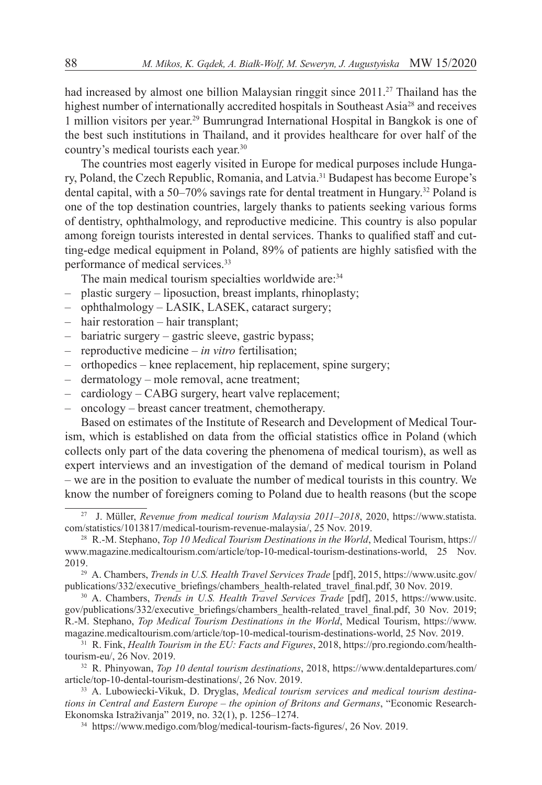had increased by almost one billion Malaysian ringgit since  $2011.^{27}$  Thailand has the highest number of internationally accredited hospitals in Southeast Asia<sup>28</sup> and receives 1 million visitors per year.29 Bumrungrad International Hospital in Bangkok is one of the best such institutions in Thailand, and it provides healthcare for over half of the country's medical tourists each year.<sup>30</sup>

The countries most eagerly visited in Europe for medical purposes include Hungary, Poland, the Czech Republic, Romania, and Latvia.<sup>31</sup> Budapest has become Europe's dental capital, with a 50–70% savings rate for dental treatment in Hungary.<sup>32</sup> Poland is one of the top destination countries, largely thanks to patients seeking various forms of dentistry, ophthalmology, and reproductive medicine. This country is also popular among foreign tourists interested in dental services. Thanks to qualified staff and cutting-edge medical equipment in Poland, 89% of patients are highly satisfied with the performance of medical services.<sup>33</sup>

The main medical tourism specialties worldwide are:<sup>34</sup>

- plastic surgery liposuction, breast implants, rhinoplasty;
- ophthalmology LASIK, LASEK, cataract surgery;
- hair restoration hair transplant;
- bariatric surgery gastric sleeve, gastric bypass;
- reproductive medicine *in vitro* fertilisation;
- orthopedics knee replacement, hip replacement, spine surgery;
- dermatology mole removal, acne treatment;
- cardiology CABG surgery, heart valve replacement;
- oncology breast cancer treatment, chemotherapy.

Based on estimates of the Institute of Research and Development of Medical Tourism, which is established on data from the official statistics office in Poland (which collects only part of the data covering the phenomena of medical tourism), as well as expert interviews and an investigation of the demand of medical tourism in Poland – we are in the position to evaluate the number of medical tourists in this country. We know the number of foreigners coming to Poland due to health reasons (but the scope

<sup>27</sup> J. Müller, *Revenue from medical tourism Malaysia 2011–2018*, 2020, https://www.statista. com/statistics/1013817/medical-tourism-revenue-malaysia/, 25 Nov. 2019.

<sup>&</sup>lt;sup>28</sup> R.-M. Stephano, *Top 10 Medical Tourism Destinations in the World*, Medical Tourism, https:// www.magazine.medicaltourism.com/article/top-10-medical-tourism-destinations-world, 25 Nov. 2019.

<sup>29</sup> A. Chambers, *Trends in U.S. Health Travel Services Trade* [pdf], 2015, https://www.usitc.gov/ publications/332/executive\_briefings/chambers\_health-related\_travel\_final.pdf, 30 Nov. 2019.

<sup>&</sup>lt;sup>30</sup> A. Chambers, *Trends in U.S. Health Travel Services Trade* [pdf], 2015, https://www.usitc. gov/publications/332/executive\_briefings/chambers\_health-related\_travel\_final.pdf, 30 Nov. 2019; R.-M. Stephano, *Top Medical Tourism Destinations in the World*, Medical Tourism, https://www. magazine.medicaltourism.com/article/top-10-medical-tourism-destinations-world, 25 Nov. 2019.

 $\overline{31}$  R. Fink, *Health Tourism in the EU: Facts and Figures*, 2018, https://pro.regiondo.com/healthtourism-eu/, 26 Nov. 2019.

<sup>32</sup> R. Phinyowan, *Top 10 dental tourism destinations*, 2018, https://www.dentaldepartures.com/ article/top-10-dental-tourism-destinations/, 26 Nov. 2019.

<sup>33</sup> A. Lubowiecki-Vikuk, D. Dryglas, *Medical tourism services and medical tourism destinations in Central and Eastern Europe – the opinion of Britons and Germans*, "Economic Research-Ekonomska Istraživanja" 2019, no. 32(1), p. 1256–1274.

<sup>34</sup> https://www.medigo.com/blog/medical-tourism-facts-figures/, 26 Nov. 2019.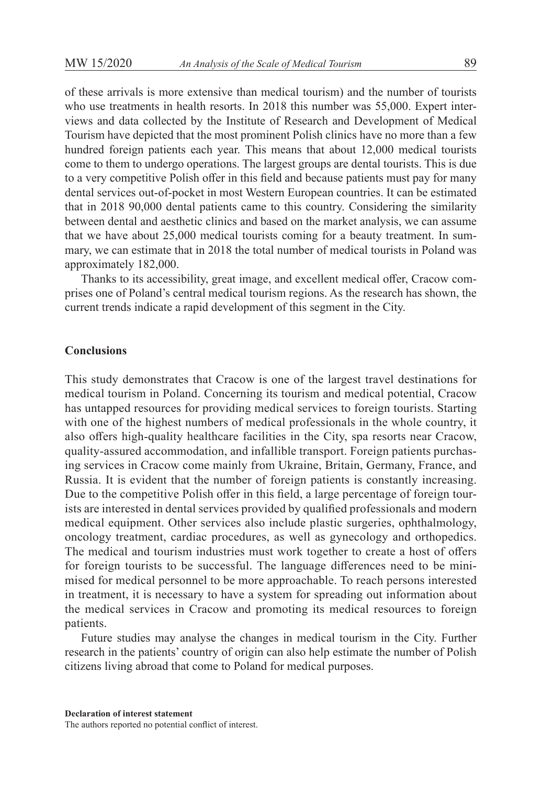of these arrivals is more extensive than medical tourism) and the number of tourists who use treatments in health resorts. In 2018 this number was 55,000. Expert interviews and data collected by the Institute of Research and Development of Medical Tourism have depicted that the most prominent Polish clinics have no more than a few hundred foreign patients each year. This means that about 12,000 medical tourists come to them to undergo operations. The largest groups are dental tourists. This is due to a very competitive Polish offer in this field and because patients must pay for many dental services out-of-pocket in most Western European countries. It can be estimated that in 2018 90,000 dental patients came to this country. Considering the similarity between dental and aesthetic clinics and based on the market analysis, we can assume that we have about 25,000 medical tourists coming for a beauty treatment. In summary, we can estimate that in 2018 the total number of medical tourists in Poland was approximately 182,000.

Thanks to its accessibility, great image, and excellent medical offer, Cracow comprises one of Poland's central medical tourism regions. As the research has shown, the current trends indicate a rapid development of this segment in the City.

# **Conclusions**

This study demonstrates that Cracow is one of the largest travel destinations for medical tourism in Poland. Concerning its tourism and medical potential, Cracow has untapped resources for providing medical services to foreign tourists. Starting with one of the highest numbers of medical professionals in the whole country, it also offers high-quality healthcare facilities in the City, spa resorts near Cracow, quality-assured accommodation, and infallible transport. Foreign patients purchasing services in Cracow come mainly from Ukraine, Britain, Germany, France, and Russia. It is evident that the number of foreign patients is constantly increasing. Due to the competitive Polish offer in this field, a large percentage of foreign tourists are interested in dental services provided by qualified professionals and modern medical equipment. Other services also include plastic surgeries, ophthalmology, oncology treatment, cardiac procedures, as well as gynecology and orthopedics. The medical and tourism industries must work together to create a host of offers for foreign tourists to be successful. The language differences need to be minimised for medical personnel to be more approachable. To reach persons interested in treatment, it is necessary to have a system for spreading out information about the medical services in Cracow and promoting its medical resources to foreign patients.

Future studies may analyse the changes in medical tourism in the City. Further research in the patients' country of origin can also help estimate the number of Polish citizens living abroad that come to Poland for medical purposes.